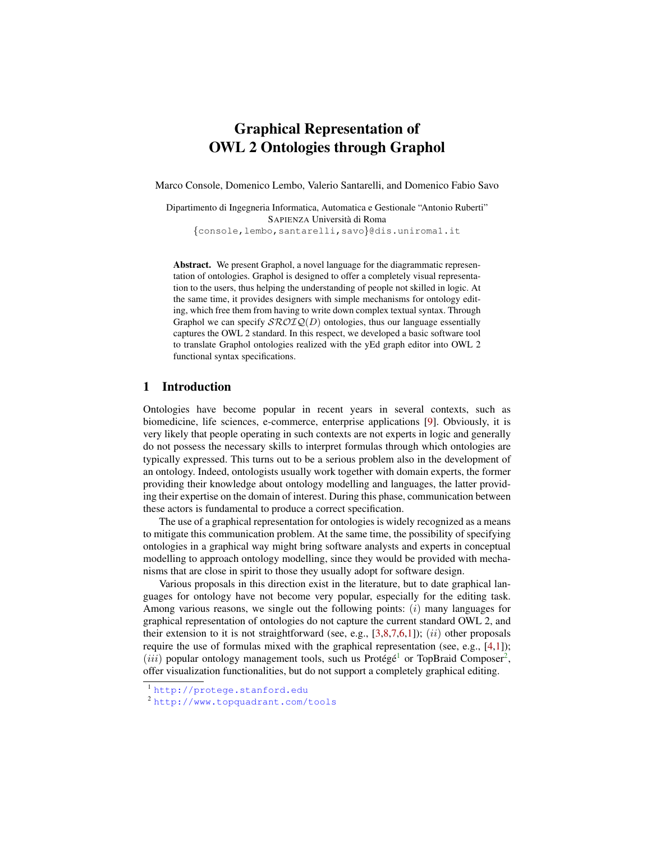# Graphical Representation of OWL 2 Ontologies through Graphol

Marco Console, Domenico Lembo, Valerio Santarelli, and Domenico Fabio Savo

Dipartimento di Ingegneria Informatica, Automatica e Gestionale "Antonio Ruberti" SAPIENZA Universita di Roma `

{console,lembo,santarelli,savo}@dis.uniroma1.it

Abstract. We present Graphol, a novel language for the diagrammatic representation of ontologies. Graphol is designed to offer a completely visual representation to the users, thus helping the understanding of people not skilled in logic. At the same time, it provides designers with simple mechanisms for ontology editing, which free them from having to write down complex textual syntax. Through Graphol we can specify  $\mathcal{SROLQ}(D)$  ontologies, thus our language essentially captures the OWL 2 standard. In this respect, we developed a basic software tool to translate Graphol ontologies realized with the yEd graph editor into OWL 2 functional syntax specifications.

#### 1 Introduction

Ontologies have become popular in recent years in several contexts, such as biomedicine, life sciences, e-commerce, enterprise applications [\[9\]](#page-3-0). Obviously, it is very likely that people operating in such contexts are not experts in logic and generally do not possess the necessary skills to interpret formulas through which ontologies are typically expressed. This turns out to be a serious problem also in the development of an ontology. Indeed, ontologists usually work together with domain experts, the former providing their knowledge about ontology modelling and languages, the latter providing their expertise on the domain of interest. During this phase, communication between these actors is fundamental to produce a correct specification.

The use of a graphical representation for ontologies is widely recognized as a means to mitigate this communication problem. At the same time, the possibility of specifying ontologies in a graphical way might bring software analysts and experts in conceptual modelling to approach ontology modelling, since they would be provided with mechanisms that are close in spirit to those they usually adopt for software design.

Various proposals in this direction exist in the literature, but to date graphical languages for ontology have not become very popular, especially for the editing task. Among various reasons, we single out the following points:  $(i)$  many languages for graphical representation of ontologies do not capture the current standard OWL 2, and their extension to it is not straightforward (see, e.g.,  $[3,8,7,6,1]$  $[3,8,7,6,1]$  $[3,8,7,6,1]$  $[3,8,7,6,1]$  $[3,8,7,6,1]$ ); *(ii)* other proposals require the use of formulas mixed with the graphical representation (see, e.g.,  $[4,1]$  $[4,1]$ ); (*iii*) popular ontology management tools, such us Protégé<sup>[1](#page-0-0)</sup> or TopBraid Composer<sup>[2](#page-0-1)</sup>, offer visualization functionalities, but do not support a completely graphical editing.

<span id="page-0-0"></span><sup>1</sup> <http://protege.stanford.edu>

<span id="page-0-1"></span><sup>2</sup> <http://www.topquadrant.com/tools>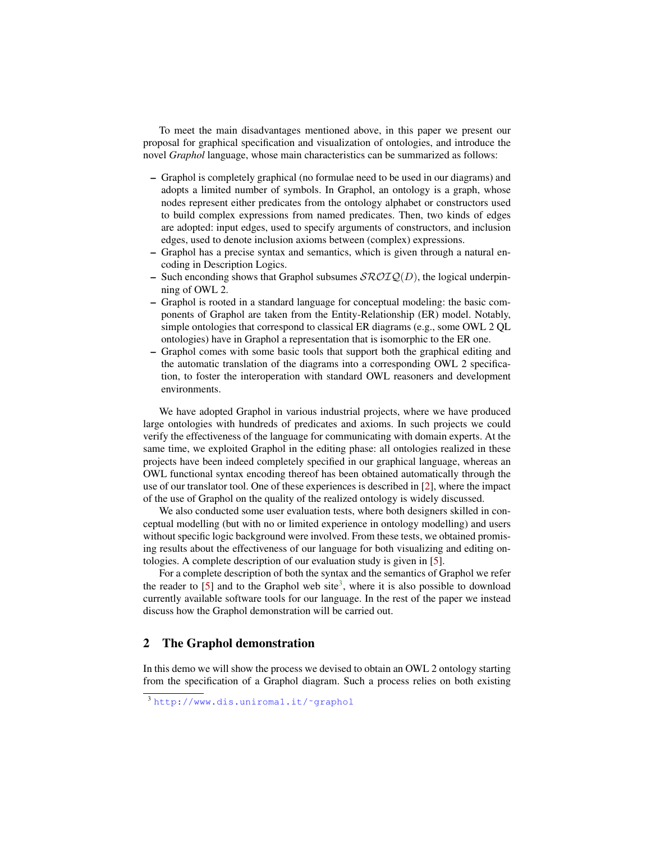To meet the main disadvantages mentioned above, in this paper we present our proposal for graphical specification and visualization of ontologies, and introduce the novel *Graphol* language, whose main characteristics can be summarized as follows:

- Graphol is completely graphical (no formulae need to be used in our diagrams) and adopts a limited number of symbols. In Graphol, an ontology is a graph, whose nodes represent either predicates from the ontology alphabet or constructors used to build complex expressions from named predicates. Then, two kinds of edges are adopted: input edges, used to specify arguments of constructors, and inclusion edges, used to denote inclusion axioms between (complex) expressions.
- Graphol has a precise syntax and semantics, which is given through a natural encoding in Description Logics.
- Such enconding shows that Graphol subsumes  $\mathcal{SROLQ}(D)$ , the logical underpinning of OWL 2.
- Graphol is rooted in a standard language for conceptual modeling: the basic components of Graphol are taken from the Entity-Relationship (ER) model. Notably, simple ontologies that correspond to classical ER diagrams (e.g., some OWL 2 QL ontologies) have in Graphol a representation that is isomorphic to the ER one.
- Graphol comes with some basic tools that support both the graphical editing and the automatic translation of the diagrams into a corresponding OWL 2 specification, to foster the interoperation with standard OWL reasoners and development environments.

We have adopted Graphol in various industrial projects, where we have produced large ontologies with hundreds of predicates and axioms. In such projects we could verify the effectiveness of the language for communicating with domain experts. At the same time, we exploited Graphol in the editing phase: all ontologies realized in these projects have been indeed completely specified in our graphical language, whereas an OWL functional syntax encoding thereof has been obtained automatically through the use of our translator tool. One of these experiences is described in [\[2\]](#page-3-7), where the impact of the use of Graphol on the quality of the realized ontology is widely discussed.

We also conducted some user evaluation tests, where both designers skilled in conceptual modelling (but with no or limited experience in ontology modelling) and users without specific logic background were involved. From these tests, we obtained promising results about the effectiveness of our language for both visualizing and editing ontologies. A complete description of our evaluation study is given in [\[5\]](#page-3-8).

For a complete description of both the syntax and the semantics of Graphol we refer the reader to  $[5]$  and to the Graphol web site<sup>[3](#page-1-0)</sup>, where it is also possible to download currently available software tools for our language. In the rest of the paper we instead discuss how the Graphol demonstration will be carried out.

## 2 The Graphol demonstration

In this demo we will show the process we devised to obtain an OWL 2 ontology starting from the specification of a Graphol diagram. Such a process relies on both existing

<span id="page-1-0"></span><sup>3</sup> [http://www.dis.uniroma1.it/˜graphol](http://www.dis.uniroma1.it/~graphol)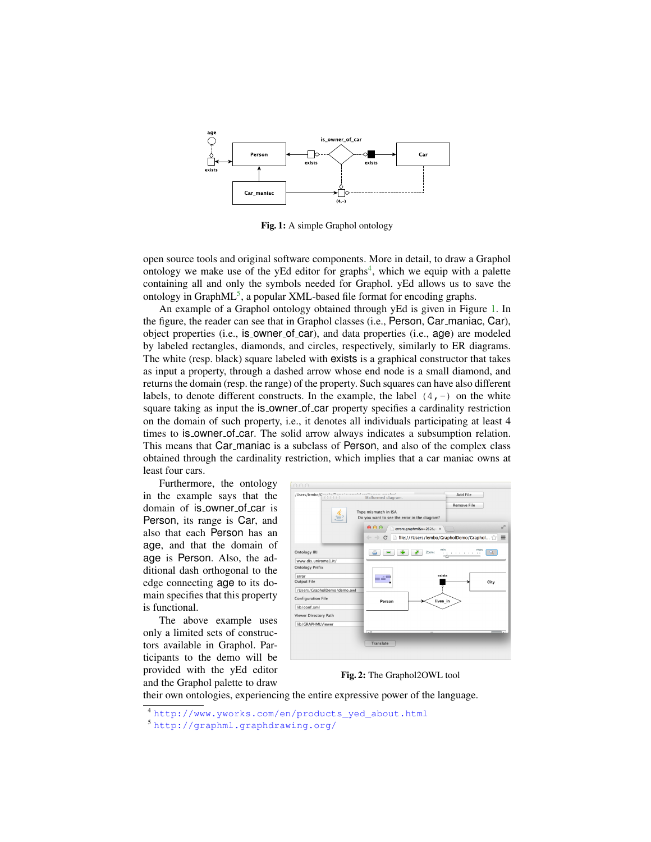<span id="page-2-2"></span>

Fig. 1: A simple Graphol ontology

open source tools and original software components. More in detail, to draw a Graphol ontology we make use of the yEd editor for graphs<sup>[4](#page-2-0)</sup>, which we equip with a palette containing all and only the symbols needed for Graphol. yEd allows us to save the ontology in Graph $ML^5$  $ML^5$ , a popular XML-based file format for encoding graphs.

An example of a Graphol ontology obtained through yEd is given in Figure [1.](#page-2-2) In the figure, the reader can see that in Graphol classes (i.e., Person, Car maniac, Car), object properties (i.e., is owner of car), and data properties (i.e., age) are modeled by labeled rectangles, diamonds, and circles, respectively, similarly to ER diagrams. The white (resp. black) square labeled with exists is a graphical constructor that takes as input a property, through a dashed arrow whose end node is a small diamond, and returns the domain (resp. the range) of the property. Such squares can have also different labels, to denote different constructs. In the example, the label  $(4, -)$  on the white square taking as input the is\_owner\_of\_car property specifies a cardinality restriction on the domain of such property, i.e., it denotes all individuals participating at least 4 times to is owner of car. The solid arrow always indicates a subsumption relation. This means that Car maniac is a subclass of Person, and also of the complex class obtained through the cardinality restriction, which implies that a car maniac owns at least four cars.

<span id="page-2-3"></span>Furthermore, the ontology in the example says that the domain of is\_owner\_of\_car is Person, its range is Car, and also that each Person has an age, and that the domain of age is Person. Also, the additional dash orthogonal to the edge connecting age to its domain specifies that this property is functional.

The above example uses only a limited sets of constructors available in Graphol. Participants to the demo will be provided with the yEd editor and the Graphol palette to draw



Fig. 2: The Graphol2OWL tool

their own ontologies, experiencing the entire expressive power of the language.

<span id="page-2-0"></span><sup>4</sup> [http://www.yworks.com/en/products\\_yed\\_about.html](http://www.yworks.com/en/products_yed_about.html)

<span id="page-2-1"></span><sup>5</sup> <http://graphml.graphdrawing.org/>